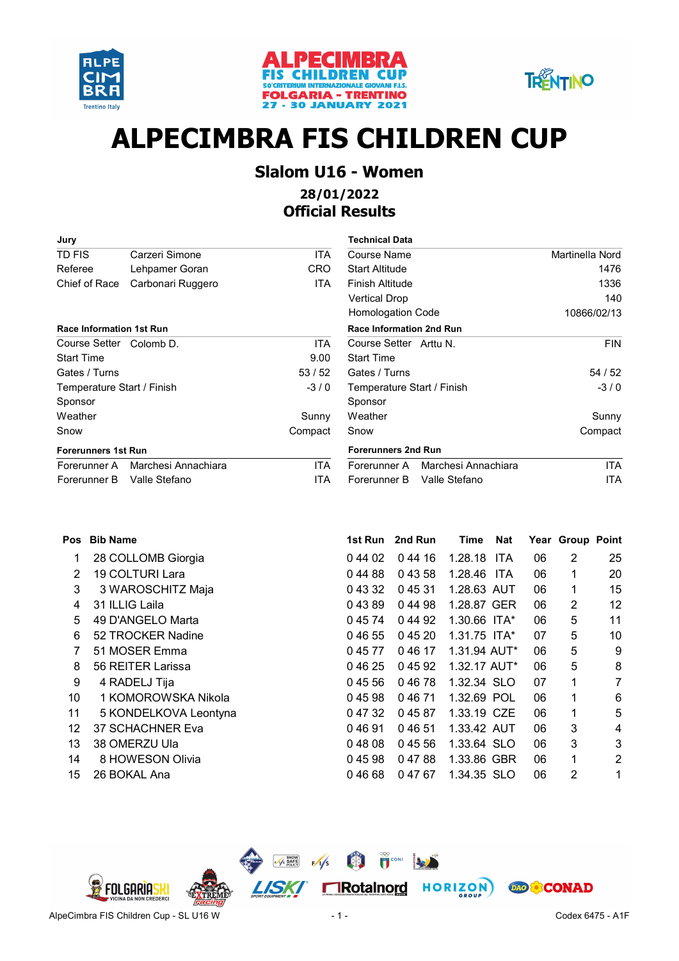





# ALPECIMBRA FIS CHILDREN CUP

### Slalom U16 - Women 28/01/2022

### Official Results

| Jury                            |                     |                                 | <b>Technical Data</b>      |           |  |  |
|---------------------------------|---------------------|---------------------------------|----------------------------|-----------|--|--|
| TD FIS                          | Carzeri Simone      | ITA.                            | Course Name                |           |  |  |
| Referee                         | Lehpamer Goran      | CRO                             | <b>Start Altitude</b>      |           |  |  |
| Chief of Race                   | Carbonari Ruggero   | ITA.                            | Finish Altitude            |           |  |  |
|                                 |                     |                                 | <b>Vertical Drop</b>       |           |  |  |
|                                 |                     |                                 | <b>Homologation Code</b>   |           |  |  |
| <b>Race Information 1st Run</b> |                     | <b>Race Information 2nd Run</b> |                            |           |  |  |
| Course Setter Colomb D.         |                     | ITA                             | Course Setter Arttu N.     |           |  |  |
| <b>Start Time</b>               |                     | 9.00                            | <b>Start Time</b>          |           |  |  |
| Gates / Turns                   |                     | 53/52                           | Gates / Turns              |           |  |  |
| Temperature Start / Finish      |                     | $-3/0$                          | Temperature Start / Finisl |           |  |  |
| Sponsor                         |                     |                                 | Sponsor                    |           |  |  |
| Weather                         |                     | Sunny                           | Weather                    |           |  |  |
| Snow                            |                     | Compact                         | Snow                       |           |  |  |
| <b>Forerunners 1st Run</b>      |                     |                                 | <b>Forerunners 2nd Run</b> |           |  |  |
| Forerunner A                    | Marchesi Annachiara | ITA.                            | Forerunner A               | Marchesi  |  |  |
| Forerunner B                    | Valle Stefano       | ITA                             | Forerunner B               | Valle Ste |  |  |

| Jury                            |                     |            | <b>Technical Data</b>               |                 |
|---------------------------------|---------------------|------------|-------------------------------------|-----------------|
| TD FIS                          | Carzeri Simone      | ITA        | Course Name                         | Martinella Nord |
| Referee                         | Lehpamer Goran      | <b>CRO</b> | <b>Start Altitude</b>               | 1476            |
| Chief of Race                   | Carbonari Ruggero   | <b>ITA</b> | <b>Finish Altitude</b>              | 1336            |
|                                 |                     |            | Vertical Drop                       | 140             |
|                                 |                     |            | Homologation Code                   | 10866/02/13     |
| <b>Race Information 1st Run</b> |                     |            | <b>Race Information 2nd Run</b>     |                 |
| Course Setter Colomb D.         |                     | <b>ITA</b> | Course Setter Arttu N.              | <b>FIN</b>      |
| Start Time                      |                     | 9.00       | <b>Start Time</b>                   |                 |
| Gates / Turns                   |                     | 53/52      | Gates / Turns                       | 54 / 52         |
| Temperature Start / Finish      |                     | $-3/0$     | Temperature Start / Finish          | $-3/0$          |
| Sponsor                         |                     |            | Sponsor                             |                 |
| Weather                         |                     | Sunny      | Weather                             | Sunny           |
| Snow                            |                     | Compact    | Snow                                | Compact         |
| <b>Forerunners 1st Run</b>      |                     |            | <b>Forerunners 2nd Run</b>          |                 |
| Forerunner A                    | Marchesi Annachiara | <b>ITA</b> | Marchesi Annachiara<br>Forerunner A | ITA.            |
| Forerunner B                    | Valle Stefano       | ITA        | Valle Stefano<br>Forerunner B       | ITA             |

| <b>Pos</b> | <b>Bib Name</b>       | 1st Run | 2nd Run | Time           | <b>Nat</b> |    | Year Group Point |    |
|------------|-----------------------|---------|---------|----------------|------------|----|------------------|----|
|            | 28 COLLOMB Giorgia    | 0 44 02 | 0 44 16 | 1.28.18 ITA    |            | 06 | 2                | 25 |
| 2          | 19 COLTURI Lara       | 04488   | 04358   | 1.28.46 ITA    |            | 06 | 1                | 20 |
| 3          | 3 WAROSCHITZ Maja     | 0 43 32 | 04531   | 1.28.63 AUT    |            | 06 | 1                | 15 |
| 4          | 31 ILLIG Laila        | 04389   | 04498   | 1.28.87 GER    |            | 06 | 2                | 12 |
| 5          | 49 D'ANGELO Marta     | 04574   | 0 44 92 | 1.30.66 ITA*   |            | 06 | 5                | 11 |
| 6          | 52 TROCKER Nadine     | 04655   | 0 45 20 | $1.31.75$ ITA* |            | 07 | 5                | 10 |
| 7          | 51 MOSER Emma         | 04577   | 04617   | 1.31.94 AUT*   |            | 06 | 5                | 9  |
| 8          | 56 REITER Larissa     | 04625   | 0 45 92 | $1.32.17$ AUT* |            | 06 | 5                | 8  |
| 9          | 4 RADELJ Tija         | 04556   | 04678   | 1.32.34 SLO    |            | 07 | 1                | 7  |
| 10         | 1 KOMOROWSKA Nikola   | 04598   | 04671   | 1.32.69 POL    |            | 06 | 1                | 6  |
| 11         | 5 KONDELKOVA Leontyna | 0 47 32 | 04587   | 1.33.19 CZE    |            | 06 | 1                | 5  |
| 12         | 37 SCHACHNER Eva      | 04691   | 04651   | 1.33.42 AUT    |            | 06 | 3                | 4  |
| 13         | 38 OMERZU Ula         | 04808   | 04556   | 1.33.64 SLO    |            | 06 | 3                | 3  |
| 14         | 8 HOWESON Olivia      | 04598   | 04788   | 1.33.86 GBR    |            | 06 | 1                | 2  |
| 15         | 26 BOKAL Ana          | 04668   | 04767   | 1.34.35 SLO    |            | 06 | 2                |    |

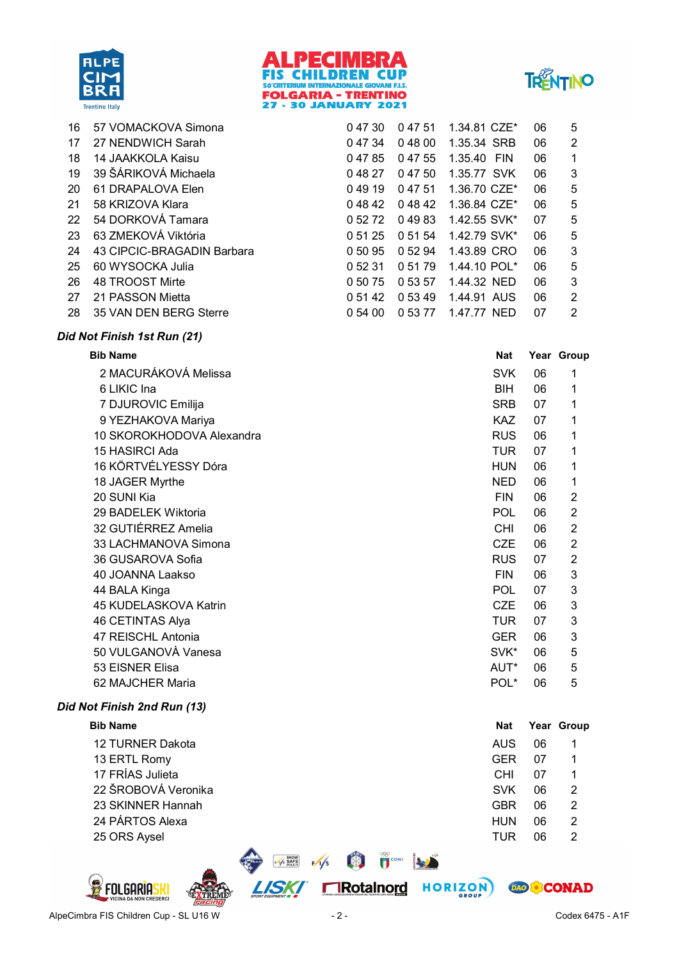





| 16 | 57 VOMACKOVA Simona        | 04730   | 04751   | 1.34.81 CZE*   | 06 | 5 |
|----|----------------------------|---------|---------|----------------|----|---|
| 17 | 27 NENDWICH Sarah          | 0 47 34 | 04800   | 1.35.34 SRB    | 06 | 2 |
| 18 | 14 JAAKKOLA Kaisu          | 04785   | 0 47 55 | 1.35.40<br>FIN | 06 | 1 |
| 19 | 39 ŠÁRIKOVÁ Michaela       | 04827   | 04750   | 1.35.77 SVK    | 06 | 3 |
| 20 | 61 DRAPALOVA Elen          | 04919   | 0 47 51 | 1.36.70 CZE*   | 06 | 5 |
| 21 | 58 KRIZOVA Klara           | 04842   | 04842   | 1.36.84 CZE*   | 06 | 5 |
| 22 | 54 DORKOVÁ Tamara          | 0 52 72 | 04983   | 1.42.55 SVK*   | 07 | 5 |
| 23 | 63 ZMEKOVÁ Viktória        | 0 51 25 | 0 51 54 | 1.42.79 SVK*   | 06 | 5 |
| 24 | 43 CIPCIC-BRAGADIN Barbara | 0 50 95 | 0 52 94 | 1.43.89 CRO    | 06 | 3 |
| 25 | 60 WYSOCKA Julia           | 0 52 31 | 0 51 79 | 1.44.10 POL*   | 06 | 5 |
| 26 | 48 TROOST Mirte            | 0 50 75 | 0 53 57 | 1.44.32 NED    | 06 | 3 |
| 27 | 21 PASSON Mietta           | 0 51 42 | 0 53 49 | 1.44.91 AUS    | 06 | 2 |
| 28 | 35 VAN DEN BERG Sterre     | 0.54,00 | 0 53 77 | 1.47.77 NED    | 07 | 2 |

#### Did Not Finish 1st Run (21)

| <b>Bib Name</b>           | <b>Nat</b>       |    | Year Group     |
|---------------------------|------------------|----|----------------|
| 2 MACURÁKOVÁ Melissa      | <b>SVK</b>       | 06 | 1              |
| 6 LIKIC Ina               | BIH.             | 06 | 1              |
| 7 DJUROVIC Emilija        | <b>SRB</b>       | 07 | 1              |
| 9 YEZHAKOVA Mariya        | <b>KAZ</b>       | 07 | 1              |
| 10 SKOROKHODOVA Alexandra | <b>RUS</b>       | 06 | 1              |
| 15 HASIRCI Ada            | <b>TUR</b>       | 07 | 1              |
| 16 KÖRTVÉLYESSY Dóra      | <b>HUN</b>       | 06 | 1              |
| 18 JAGER Myrthe           | <b>NED</b>       | 06 | 1              |
| 20 SUNI Kia               | <b>FIN</b>       | 06 | $\overline{2}$ |
| 29 BADELEK Wiktoria       | <b>POL</b>       | 06 | $\overline{2}$ |
| 32 GUTIÉRREZ Amelia       | CHI              | 06 | $\overline{2}$ |
| 33 LACHMANOVA Simona      | <b>CZE</b>       | 06 | $\overline{2}$ |
| 36 GUSAROVA Sofia         | <b>RUS</b>       | 07 | $\overline{2}$ |
| 40 JOANNA Laakso          | <b>FIN</b>       | 06 | 3              |
| 44 BALA Kinga             | <b>POL</b>       | 07 | 3              |
| 45 KUDELASKOVA Katrin     | <b>CZE</b>       | 06 | 3              |
| 46 CETINTAS Alya          | TUR.             | 07 | 3              |
| 47 REISCHL Antonia        | <b>GER</b>       | 06 | 3              |
| 50 VULGANOVÀ Vanesa       | SVK*             | 06 | 5              |
| 53 EISNER Elisa           | AUT*             | 06 | 5              |
| 62 MAJCHER Maria          | POL <sup>*</sup> | 06 | 5              |
|                           |                  |    |                |

#### Did Not Finish 2nd Run (13)

| <b>Bib Name</b>     | <b>Nat</b> |    | Year Group |
|---------------------|------------|----|------------|
| 12 TURNER Dakota    | <b>AUS</b> | 06 |            |
| 13 ERTL Romy        | <b>GER</b> | 07 |            |
| 17 FRÍAS Julieta    | <b>CHI</b> | 07 |            |
| 22 ŠROBOVÁ Veronika | <b>SVK</b> | 06 | 2          |
| 23 SKINNER Hannah   | <b>GBR</b> | 06 | 2          |
| 24 PÁRTOS Alexa     | <b>HUN</b> | 06 | 2          |
| 25 ORS Aysel        | TUR        | 06 | 2          |
|                     |            |    |            |



**DAO & CONAD** 

**BERTHE CONNECTION** 

**FIRotainord HORIZON** 

 $\sqrt{5}$  SAFE F  $\sqrt{5}$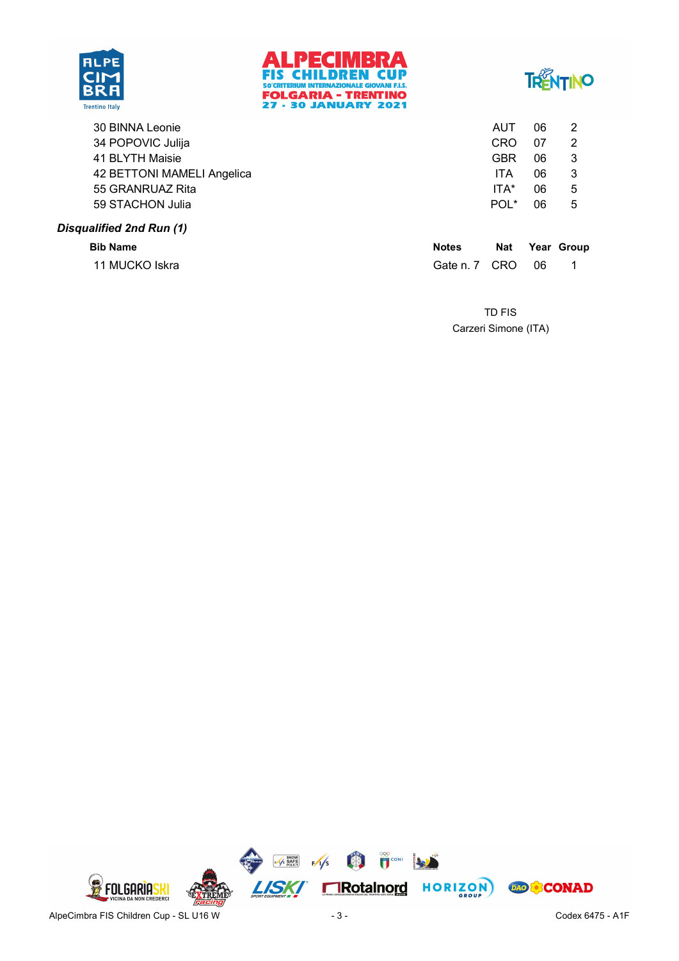





| <b>POST AT LAND COMPANY</b> | <b>BIRD 2005</b> |                  | $\mathbf{r}$ |   |
|-----------------------------|------------------|------------------|--------------|---|
| Disqualified 2nd Run (1)    |                  |                  |              |   |
| 59 STACHON Julia            |                  | POL <sup>*</sup> | 06           | 5 |
| 55 GRANRUAZ Rita            |                  | ITA*             | 06           | 5 |
| 42 BETTONI MAMELI Angelica  |                  | ITA              | 06           | 3 |
| 41 BLYTH Maisie             |                  | <b>GBR</b>       | 06           | 3 |
| 34 POPOVIC Julija           |                  | <b>CRO</b>       | 07           | 2 |
| 30 BINNA Leonie             |                  | AUT              | 06           | 2 |
|                             |                  |                  |              |   |

| <b>Bib Name</b> | <b>Notes</b>     |  | Nat Year Group |
|-----------------|------------------|--|----------------|
| 11 MUCKO Iskra  | Gate n. 7 CRO 06 |  |                |

Carzeri Simone (ITA) TD FIS

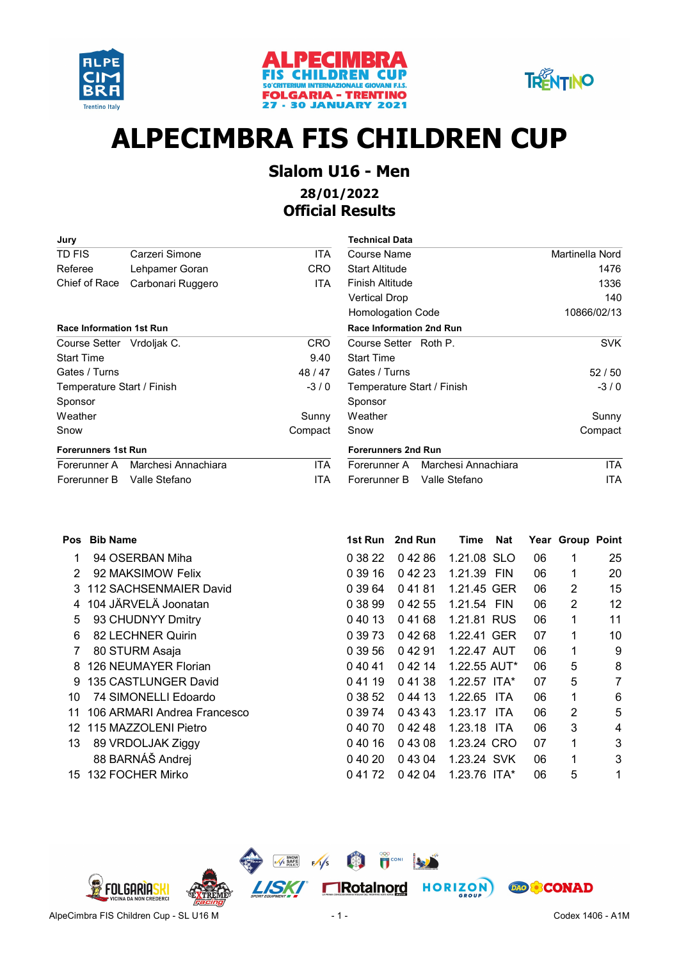





# ALPECIMBRA FIS CHILDREN CUP

## Slalom U16 - Men

### 28/01/2022 Official Results

| Jury                            |                     |            | <b>Technical Data</b>               |                 |
|---------------------------------|---------------------|------------|-------------------------------------|-----------------|
| TD FIS                          | Carzeri Simone      | <b>ITA</b> | Course Name                         | Martinella Nord |
| Referee                         | Lehpamer Goran      | <b>CRO</b> | <b>Start Altitude</b>               | 1476            |
| Chief of Race                   | Carbonari Ruggero   | ITA.       | Finish Altitude                     | 1336            |
|                                 |                     |            | <b>Vertical Drop</b>                | 140             |
|                                 |                     |            | <b>Homologation Code</b>            | 10866/02/13     |
| <b>Race Information 1st Run</b> |                     |            | <b>Race Information 2nd Run</b>     |                 |
| Course Setter Vrdoljak C.       |                     | <b>CRO</b> | Course Setter Roth P.               | <b>SVK</b>      |
| <b>Start Time</b>               |                     | 9.40       | <b>Start Time</b>                   |                 |
| Gates / Turns                   |                     | 48/47      | Gates / Turns                       | 52/50           |
| Temperature Start / Finish      |                     | $-3/0$     | Temperature Start / Finish          | $-3/0$          |
| Sponsor                         |                     |            | Sponsor                             |                 |
| Weather                         |                     | Sunny      | Weather                             | Sunny           |
| Snow                            |                     | Compact    | Snow                                | Compact         |
| <b>Forerunners 1st Run</b>      |                     |            | <b>Forerunners 2nd Run</b>          |                 |
| Forerunner A                    | Marchesi Annachiara | ITA        | Marchesi Annachiara<br>Forerunner A | <b>ITA</b>      |
| Forerunner B                    | Valle Stefano       | <b>ITA</b> | Valle Stefano<br>Forerunner B       | ITA             |

| Technical Data                  |                                  |                 |
|---------------------------------|----------------------------------|-----------------|
| Course Name                     |                                  | Martinella Nord |
| Start Altitude                  |                                  | 1476            |
| Finish Altitude                 |                                  | 1336            |
| Vertical Drop                   |                                  | 140             |
| Homologation Code               |                                  | 10866/02/13     |
| <b>Race Information 2nd Run</b> |                                  |                 |
| Course Setter Roth P.           |                                  | SVK             |
| <b>Start Time</b>               |                                  |                 |
| Gates / Turns                   |                                  | 52/50           |
| Temperature Start / Finish      |                                  | $-3/0$          |
| Sponsor                         |                                  |                 |
| Weather                         |                                  | Sunny           |
| Snow                            |                                  | Compact         |
| <b>Forerunners 2nd Run</b>      |                                  |                 |
|                                 | Forerunner A Marchesi Annachiara | ITA.            |
| Forerunner B                    | Valle Stefano                    | ITA             |

| <b>Pos</b> | <b>Bib Name</b>             | 1st Run | 2nd Run | Time           | <b>Nat</b> |    | Year Group Point |    |
|------------|-----------------------------|---------|---------|----------------|------------|----|------------------|----|
|            | 94 OSERBAN Miha             | 0 38 22 | 04286   | 1.21.08 SLO    |            | 06 |                  | 25 |
| 2          | 92 MAKSIMOW Felix           | 0 39 16 | 04223   | 1.21.39 FIN    |            | 06 | 1                | 20 |
| 3          | 112 SACHSENMAIER David      | 0 39 64 | 04181   | 1.21.45 GER    |            | 06 | 2                | 15 |
| 4          | 104 JÄRVELÄ Joonatan        | 0 38 99 | 04255   | 1.21.54 FIN    |            | 06 | 2                | 12 |
| 5          | 93 CHUDNYY Dmitry           | 04013   | 04168   | 1.21.81 RUS    |            | 06 | 1                | 11 |
| 6          | 82 LECHNER Quirin           | 0 39 73 | 04268   | 1.22.41 GER    |            | 07 | 1                | 10 |
| 7          | 80 STURM Asaja              | 0 39 56 | 04291   | 1.22.47 AUT    |            | 06 | 1                | 9  |
| 8          | 126 NEUMAYER Florian        | 04041   | 0 42 14 | $1.22.55$ AUT* |            | 06 | 5                | 8  |
| 9.         | 135 CASTLUNGER David        | 04119   | 04138   | $1.22.57$ ITA* |            | 07 | 5                | 7  |
| 10         | 74 SIMONELLI Edoardo        | 0 38 52 | 0 44 13 | 1.22.65 ITA    |            | 06 | 1                | 6  |
| 11         | 106 ARMARI Andrea Francesco | 0 39 74 | 0 43 43 | 1.23.17        | ITA.       | 06 | 2                | 5  |
| 12         | 115 MAZZOLENI Pietro        | 04070   | 04248   | 1.23.18 ITA    |            | 06 | 3                | 4  |
| 13         | 89 VRDOLJAK Ziggy           | 04016   | 04308   | 1.23.24 CRO    |            | 07 | 1                | 3  |
|            | 88 BARNÁŠ Andrej            | 0,40,20 | 0 43 04 | 1.23.24 SVK    |            | 06 | 1                | 3  |
| 15         | 132 FOCHER Mirko            | 0 41 72 | 04204   | 1.23.76 ITA*   |            | 06 | 5                | 1  |

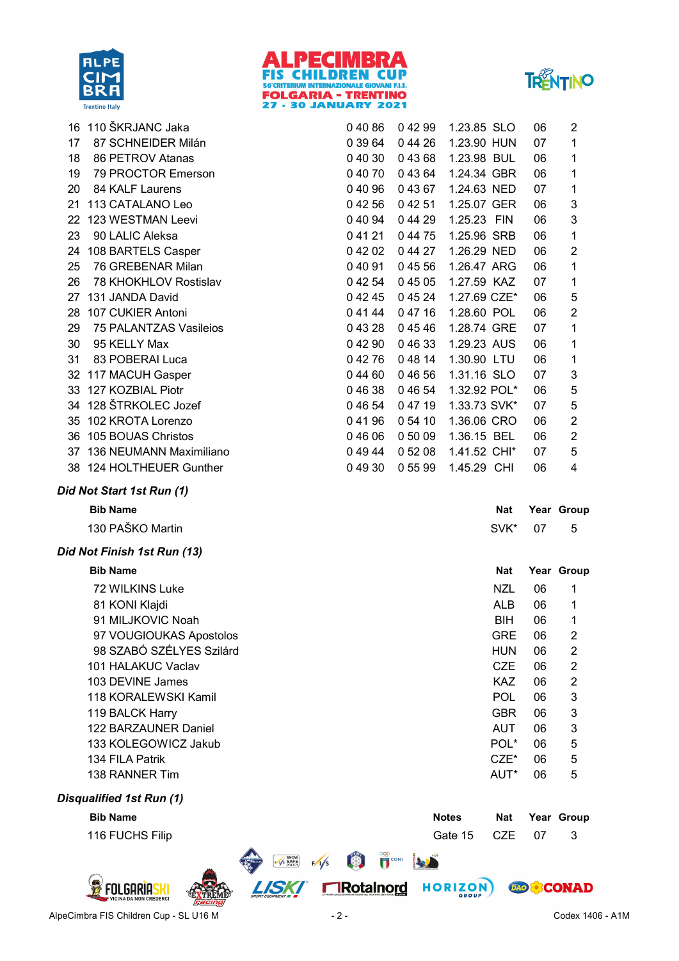





|    | 16 110 ŠKRJANC Jaka         | 04086   | 04299   | 1.23.85 SLO  |            | 06 | $\overline{c}$          |
|----|-----------------------------|---------|---------|--------------|------------|----|-------------------------|
| 17 | 87 SCHNEIDER Milán          | 0 39 64 | 044 26  | 1.23.90 HUN  |            | 07 | 1                       |
| 18 | 86 PETROV Atanas            | 04030   | 04368   | 1.23.98 BUL  |            | 06 | 1                       |
| 19 | 79 PROCTOR Emerson          | 04070   | 04364   | 1.24.34 GBR  |            | 06 | 1                       |
| 20 | 84 KALF Laurens             | 04096   | 04367   | 1.24.63 NED  |            | 07 | 1                       |
| 21 | 113 CATALANO Leo            | 04256   | 04251   | 1.25.07 GER  |            | 06 | 3                       |
| 22 | 123 WESTMAN Leevi           | 0 40 94 | 044 29  | 1.25.23 FIN  |            | 06 | 3                       |
| 23 | 90 LALIC Aleksa             | 04121   | 0 44 75 | 1.25.96 SRB  |            | 06 | 1                       |
|    | 24 108 BARTELS Casper       | 04202   | 0 44 27 | 1.26.29 NED  |            | 06 | $\overline{2}$          |
| 25 | 76 GREBENAR Milan           | 04091   | 04556   | 1.26.47 ARG  |            | 06 | 1                       |
| 26 | 78 KHOKHLOV Rostislav       | 0 42 54 | 04505   | 1.27.59 KAZ  |            | 07 | 1                       |
| 27 | 131 JANDA David             | 04245   | 04524   | 1.27.69 CZE* |            | 06 | 5                       |
| 28 | 107 CUKIER Antoni           | 04144   | 04716   | 1.28.60 POL  |            | 06 | $\overline{2}$          |
| 29 | 75 PALANTZAS Vasileios      | 04328   | 04546   | 1.28.74 GRE  |            | 07 | 1                       |
| 30 | 95 KELLY Max                | 04290   | 04633   | 1.29.23 AUS  |            | 06 | 1                       |
| 31 | 83 POBERAI Luca             | 04276   | 04814   | 1.30.90 LTU  |            | 06 | 1                       |
|    | 32 117 MACUH Gasper         | 04460   | 04656   | 1.31.16 SLO  |            | 07 | $\sqrt{3}$              |
|    | 33 127 KOZBIAL Piotr        | 04638   | 04654   | 1.32.92 POL* |            | 06 | 5                       |
|    | 34 128 ŠTRKOLEC Jozef       | 0 46 54 | 04719   | 1.33.73 SVK* |            | 07 | 5                       |
|    | 35 102 KROTA Lorenzo        | 04196   | 054 10  | 1.36.06 CRO  |            | 06 | $\overline{2}$          |
|    | 36 105 BOUAS Christos       | 04606   | 0 50 09 | 1.36.15 BEL  |            | 06 | $\boldsymbol{2}$        |
|    | 37 136 NEUMANN Maximiliano  | 04944   | 0 52 08 | 1.41.52 CHI* |            | 07 | 5                       |
|    | 38 124 HOLTHEUER Gunther    | 04930   | 0 55 99 | 1.45.29 CHI  |            | 06 | 4                       |
|    | Did Not Start 1st Run (1)   |         |         |              |            |    |                         |
|    | <b>Bib Name</b>             |         |         |              | <b>Nat</b> |    | Year Group              |
|    | 130 PAŠKO Martin            |         |         |              | SVK*       | 07 | 5                       |
|    | Did Not Finish 1st Run (13) |         |         |              |            |    |                         |
|    | <b>Bib Name</b>             |         |         |              | <b>Nat</b> |    | Year Group              |
|    | 72 WILKINS Luke             |         |         |              | <b>NZL</b> | 06 | 1                       |
|    | 81 KONI Klajdi              |         |         |              | <b>ALB</b> | 06 | 1                       |
|    | 91 MILJKOVIC Noah           |         |         |              | <b>BIH</b> | 06 | 1                       |
|    | 97 VOUGIOUKAS Apostolos     |         |         |              | <b>GRE</b> | 06 | $\overline{2}$          |
|    | 98 SZABÓ SZÉLYES Szilárd    |         |         |              | <b>HUN</b> | 06 | 2                       |
|    | 101 HALAKUC Vaclav          |         |         |              | <b>CZE</b> | 06 | 2                       |
|    | 103 DEVINE James            |         |         |              | <b>KAZ</b> | 06 | $\overline{\mathbf{c}}$ |
|    | 118 KORALEWSKI Kamil        |         |         |              | <b>POL</b> | 06 | 3                       |
|    | 119 BALCK Harry             |         |         |              | <b>GBR</b> | 06 | 3                       |
|    | 122 BARZAUNER Daniel        |         |         |              | <b>AUT</b> | 06 | 3                       |
|    | 133 KOLEGOWICZ Jakub        |         |         |              | POL*       | 06 | 5                       |
|    | 134 FILA Patrik             |         |         |              | $CZE^*$    | 06 | 5                       |
|    | 138 RANNER Tim              |         |         |              | AUT*       | 06 | 5                       |
|    |                             |         |         |              |            |    |                         |
|    | Disqualified 1st Run (1)    |         |         |              |            |    |                         |
|    | <b>Bib Name</b>             |         |         | <b>Notes</b> | <b>Nat</b> |    | Year Group              |
|    | 116 FUCHS Filip             |         |         | Gate 15      | <b>CZE</b> |    |                         |





国

 $\sqrt{s}$ 

**E** SAFE

**LISKI** 

**ROO**<br>**T**CONI

**FIRotainord HORIZON** 

**AND THE** 

**DAO & CONAD**